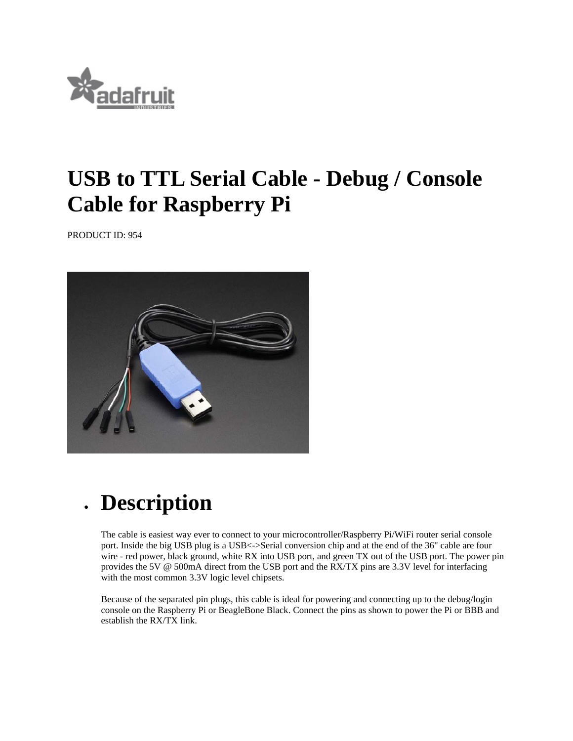

## **USB to TTL Serial Cable - Debug / Console Cable for Raspberry Pi**

PRODUCT ID: 954



## **Description**

The cable is easiest way ever to connect to your microcontroller/Raspberry Pi/WiFi router serial console port. Inside the big USB plug is a USB<->Serial conversion chip and at the end of the 36" cable are four wire - red power, black ground, white RX into USB port, and green TX out of the USB port. The power pin provides the 5V @ 500mA direct from the USB port and the RX/TX pins are 3.3V level for interfacing with the most common 3.3V logic level chipsets.

Because of the separated pin plugs, this cable is ideal for powering and connecting up to the debug/login console on the Raspberry Pi or BeagleBone Black. Connect the pins as shown to power the Pi or BBB and establish the RX/TX link.